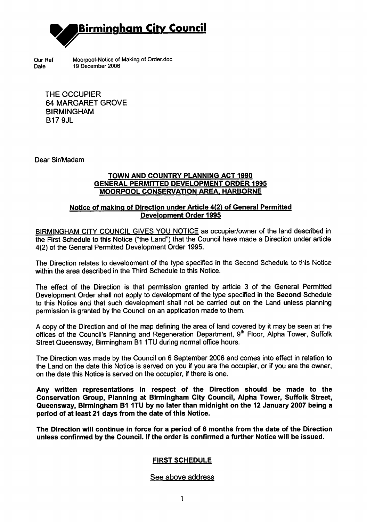

Our Ref Moorpool-Notice of Making of Order.doc Date 19 December 2006

THE OCCUPIER 64 MARGARET GROVE BIRMINGHAM B17 9JL

Dear Sir/Madam

### TOWN AND COUNTRY PLANNING ACT 1990 GENERAL PERMITTED DEVELOPMENT ORDER 1995 MOORPOOL CONSERVATION AREA. HARBORNE

### Notice of making of Direction under Article 4(2) of General Permitted Development Order 1995

BIRMINGHAM CITY COUNCIL GIVES YOU NOTICE as occupier/owner of the land described in the First Schedule to this Notice ("the Land") that the Council have made a Direction under article 4(2) of the General Permitted Development Order 1995.

The Direction relates to develooment of the type specified in the Second Schedule to this Notice within the area described in the Third Schedule to this Notice.

The effect of the Direction is that permission granted by article 3 of the General Permitted Development Order shall not apply to development of the type specified in the Second Schedule to this Notice and that such development shall not be carried out on the Land unless planning permission is granted by the Council on an application made to them.

A copy of the Direction and of the map defining the area of land covered by it may be seen at the offices of the Council's Planning and Regeneration Department, 9<sup>th</sup> Floor, Alpha Tower, Suffolk Street Queensway, Birmingham B1 1TU during normal office hours.

The Direction was made by the Council on 6 September 2006 and comes into effect in relation to the Land on the date this Notice is served on you if you are the occupier, or if you are the owner, on the date this Notice is served on the occupier, if there is one.

Any written representations in respect of the Direction should be made to the Conservation Group, Planning at Birmingham City Council, Alpha Tower, Suffolk Street, Queensway, Birmingham B1 1TU by no later than midnight on the 12 January 2007 being a period of at least 21 days from the date of this Notice.

The Direction will continue in force for a period of 6 months from the date of the Direction unless confirmed by the Council. If the order is confirmed a further Notice will be issued.

## FIRST SCHEDULE

#### See above address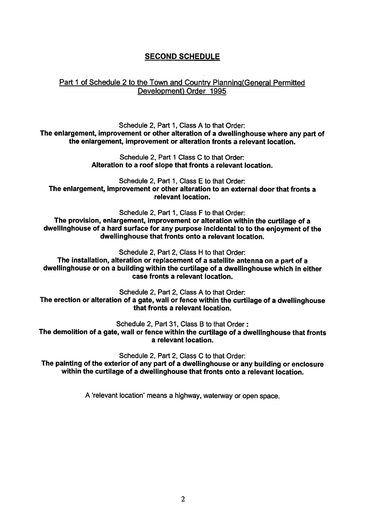# SECOND SCHEDULE

### Part 1 of Schedule 2 to the Town and Country Planning (General Permitted Development) Order 1995

Schedule 2, Part 1, Class A to that Order: The enlargement, improvement or other alteration of a dweilinghouse where any part of the enlargement, improvement or alteration fronts a relevant location.

> Schedule 2, Part 1 Class C to that Order: Alteration to a roof slope that fronts a relevant location.

Schedule 2, Part 1, Class E to that Order: The enlargement, improvement or other alteration to an external door that fronts a relevant location.

Schedule 2, Part 1, Class F to that Order: The provision, enlargement, improvement or alteration within the curtilage of a dweliinghouse of a hard surface for any purpose incidental to to the enjoyment of the dweliinghouse that fronts onto a relevant location.

Schedule 2, Part 2, Class H to that Order:

The installation, alteration or replacement of a satellite antenna on a part of a dweilinghouse or on a building within the curtilage of a dweilinghouse which in either case fronts a relevant location.

Schedule 2, Part 2, Class A to that Order: The erection or alteration of a gate, wall or fence within the curtilage of a dweilinghouse that fronts a relevant location.

Schedule 2, Part 31, Class B to that Order:

The demolition of a gate, wall or fence within the curtilage of a dweliinghouse that fronts a relevant location.

Schedule 2, Part 2, Class C to that Order: The painting of the exterior of any part of a dweilinghouse or any building or enclosure within the curtilage of a dweliinghouse that fronts onto a relevant location.

A 'relevant location' means a highway, waterway or open space.